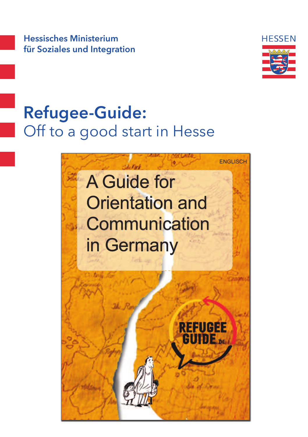Hessisches Ministerium für Soziales und Integration



### Refugee-Guide: Off to a good start in Hesse

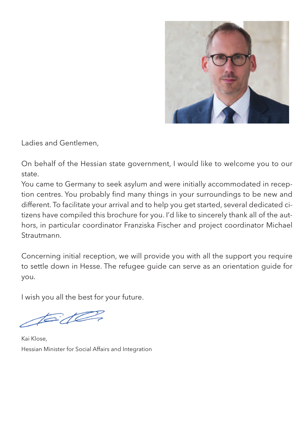

Ladies and Gentlemen,

On behalf of the Hessian state government, I would like to welcome you to our state.

You came to Germany to seek asylum and were initially accommodated in reception centres. You probably find many things in your surroundings to be new and different. To facilitate your arrival and to help you get started, several dedicated citizens have compiled this brochure for you. I'd like to sincerely thank all of the authors, in particular coordinator Franziska Fischer and project coordinator Michael Strautmann.

Concerning initial reception, we will provide you with all the support you require to settle down in Hesse. The refugee guide can serve as an orientation guide for you.

I wish you all the best for your future.

 $t = d$ 

Kai Klose, Hessian Minister for Social Affairs and Integration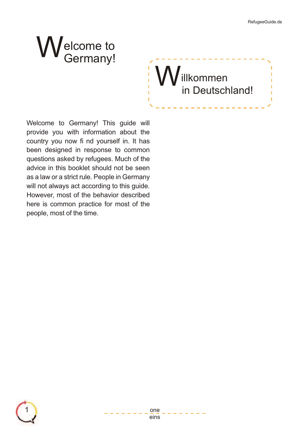# Welcome to<br>Germany!

Willkommen in Deutschland!

Welcome to Germany! This guide will provide you with information about the country you now fi nd yourself in. It has been designed in response to common questions asked by refugees. Much of the advice in this booklet should not be seen as a law or a strict rule. People in Germany will not always act according to this guide. However, most of the behavior described here is common practice for most of the people, most of the time.



#### 1 one eins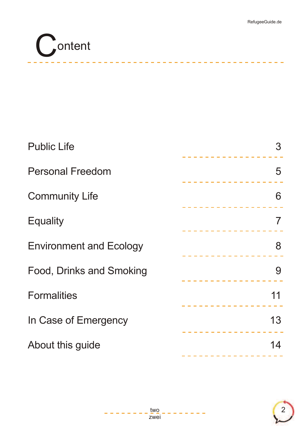

| <b>Public Life</b>             | 3<br><u> 22222222222222</u> |
|--------------------------------|-----------------------------|
| <b>Personal Freedom</b>        | 5<br><u>.</u>               |
| <b>Community Life</b>          | 6<br>.                      |
| <b>Equality</b>                | $\overline{7}$              |
| <b>Environment and Ecology</b> | 8<br>_________________      |
| Food, Drinks and Smoking       | 9                           |
| <b>Formalities</b>             | 11                          |
| In Case of Emergency           | 13                          |
| About this guide               | 14<br>------------------    |
|                                |                             |

---------------------

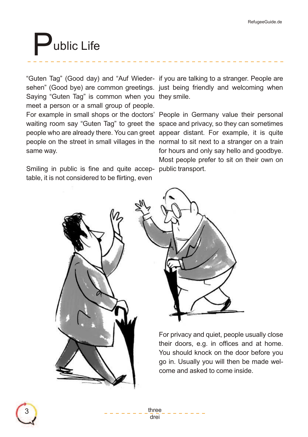### ublic Life

"Guten Tag" (Good day) and "Auf Wieder-if you are talking to a stranger. People are sehen" (Good bye) are common greetings. just being friendly and welcoming when Saying "Guten Tag" is common when you they smile. meet a person or a small group of people. For example in small shops or the doctors' People in Germany value their personal waiting room say "Guten Tag" to greet the space and privacy, so they can sometimes people who are already there. You can greet appear distant. For example, it is quite people on the street in small villages in the normal to sit next to a stranger on a train same way.

Smiling in public is fine and quite accep- public transport. table, it is not considered to be flirting, even

for hours and only say hello and goodbye. Most people prefer to sit on their own on



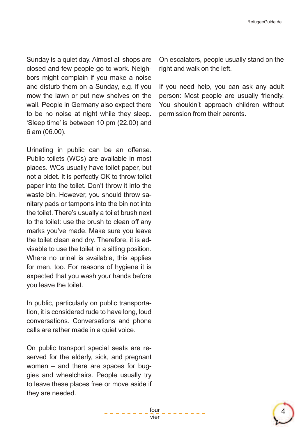Sunday is a quiet day. Almost all shops are closed and few people go to work. Neighbors might complain if you make a noise and disturb them on a Sunday, e.g. if you mow the lawn or put new shelves on the wall. People in Germany also expect there to be no noise at night while they sleep. 'Sleep time' is between 10 pm (22.00) and 6 am (06.00).

Urinating in public can be an offense. Public toilets (WCs) are available in most places. WCs usually have toilet paper, but not a bidet. It is perfectly OK to throw toilet paper into the toilet. Don't throw it into the waste bin. However, you should throw sanitary pads or tampons into the bin not into the toilet. There's usually a toilet brush next to the toilet: use the brush to clean off any marks you've made. Make sure you leave the toilet clean and dry. Therefore, it is advisable to use the toilet in a sitting position. Where no urinal is available, this applies for men, too. For reasons of hygiene it is expected that you wash your hands before you leave the toilet.

In public, particularly on public transportation, it is considered rude to have long, loud conversations. Conversations and phone calls are rather made in a quiet voice.

On public transport special seats are reserved for the elderly, sick, and pregnant women – and there are spaces for buggies and wheelchairs. People usually try to leave these places free or move aside if they are needed.

On escalators, people usually stand on the right and walk on the left.

If you need help, you can ask any adult person: Most people are usually friendly. You shouldn't approach children without permission from their parents.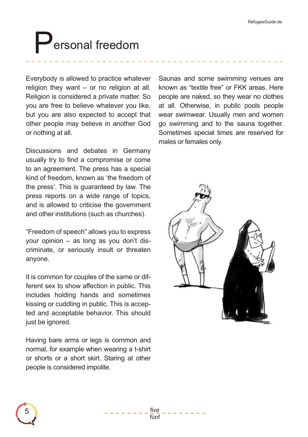### Personal freedom

Everybody is allowed to practice whatever religion they want – or no religion at all. Religion is considered a private matter. So you are free to believe whatever you like, but you are also expected to accept that other people may believe in another God or nothing at all.

Discussions and debates in Germany usually try to find a compromise or come to an agreement. The press has a special kind of freedom, known as 'the freedom of the press'. This is guaranteed by law. The press reports on a wide range of topics, and is allowed to criticise the government and other institutions (such as churches).

"Freedom of speech" allows you to express your opinion – as long as you don't discriminate, or seriously insult or threaten anyone.

It is common for couples of the same or different sex to show affection in public. This includes holding hands and sometimes kissing or cuddling in public. This is accepted and acceptable behavior. This should just be janored.

Having bare arms or legs is common and normal, for example when wearing a t-shirt or shorts or a short skirt. Staring at other people is considered impolite.

Saunas and some swimming venues are known as "textile free" or FKK areas. Here people are naked, so they wear no clothes at all. Otherwise, in public pools people wear swimwear. Usually men and women go swimming and to the sauna together. Sometimes special times are reserved for males or females only.





5  $- - - - - - \frac{f(v_e)}{f(v_e)}$ fünf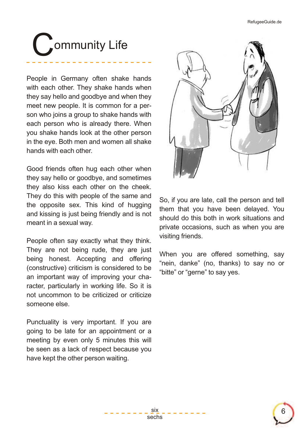## ommunity Life

People in Germany often shake hands with each other. They shake hands when they say hello and goodbye and when they meet new people. It is common for a person who joins a group to shake hands with each person who is already there. When you shake hands look at the other person in the eye. Both men and women all shake hands with each other.

Good friends often hug each other when they say hello or goodbye, and sometimes they also kiss each other on the cheek. They do this with people of the same and the opposite sex. This kind of hugging and kissing is just being friendly and is not meant in a sexual way.

People often say exactly what they think. They are not being rude, they are just being honest. Accepting and offering (constructive) criticism is considered to be an important way of improving your character, particularly in working life. So it is not uncommon to be criticized or criticize someone else.

Punctuality is very important. If you are going to be late for an appointment or a meeting by even only 5 minutes this will be seen as a lack of respect because you have kept the other person waiting.



So, if you are late, call the person and tell them that you have been delayed. You should do this both in work situations and private occasions, such as when you are visiting friends.

When you are offered something, say "nein, danke" (no, thanks) to say no or "bitte" or "gerne" to say yes.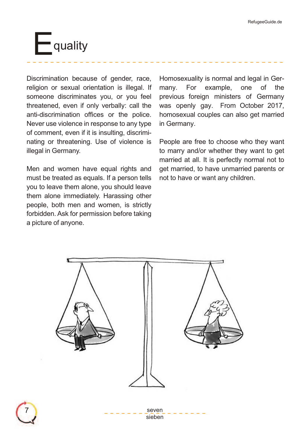

Discrimination because of gender, race, religion or sexual orientation is illegal. If someone discriminates you, or you feel threatened, even if only verbally: call the anti-discrimination offices or the police. Never use violence in response to any type of comment, even if it is insulting, discriminating or threatening. Use of violence is illegal in Germany.

Men and women have equal rights and must be treated as equals. If a person tells you to leave them alone, you should leave them alone immediately. Harassing other people, both men and women, is strictly forbidden. Ask for permission before taking a picture of anyone.

Homosexuality is normal and legal in Germany. For example, one of the previous foreign ministers of Germany was openly gay. From October 2017, homosexual couples can also get married in Germany.

People are free to choose who they want to marry and/or whether they want to get married at all. It is perfectly normal not to get married, to have unmarried parents or not to have or want any children.

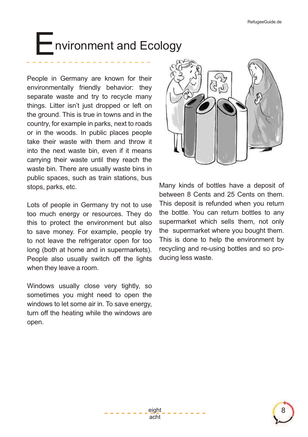#### **Followironment and Ecology**

People in Germany are known for their environmentally friendly behavior: they separate waste and try to recycle many things. Litter isn't just dropped or left on the ground. This is true in towns and in the country, for example in parks, next to roads or in the woods. In public places people take their waste with them and throw it into the next waste bin, even if it means carrying their waste until they reach the waste bin. There are usually waste bins in public spaces, such as train stations, bus stops, parks, etc.

Lots of people in Germany try not to use too much energy or resources. They do this to protect the environment but also to save money. For example, people try to not leave the refrigerator open for too long (both at home and in supermarkets). People also usually switch off the lights when they leave a room.

Windows usually close very tightly, so sometimes you might need to open the windows to let some air in. To save energy, turn off the heating while the windows are open.



Many kinds of bottles have a deposit of between 8 Cents and 25 Cents on them. This deposit is refunded when you return the bottle. You can return bottles to any supermarket which sells them, not only the supermarket where you bought them. This is done to help the environment by recycling and re-using bottles and so producing less waste.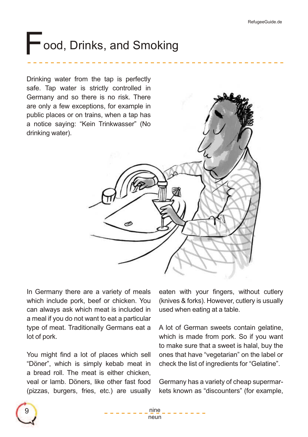### Food, Drinks, and Smoking

Drinking water from the tap is perfectly safe. Tap water is strictly controlled in Germany and so there is no risk. There are only a few exceptions, for example in public places or on trains, when a tap has a notice saying: "Kein Trinkwasser" (No drinking water).



In Germany there are a variety of meals which include pork, beef or chicken. You can always ask which meat is included in a meal if you do not want to eat a particular type of meat. Traditionally Germans eat a lot of pork.

You might find a lot of places which sell "Döner", which is simply kebab meat in a bread roll. The meat is either chicken, veal or lamb. Döners, like other fast food (pizzas, burgers, fries, etc.) are usually eaten with your fingers, without cutlery (knives & forks). However, cutlery is usually used when eating at a table.

A lot of German sweets contain gelatine, which is made from pork. So if you want to make sure that a sweet is halal, buy the ones that have "vegetarian" on the label or check the list of ingredients for "Gelatine".

Germany has a variety of cheap supermarkets known as "discounters" (for example,

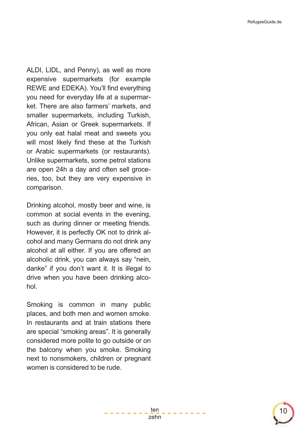ALDI, LIDL, and Penny), as well as more expensive supermarkets (for example REWE and EDEKA). You'll find everything you need for everyday life at a supermarket. There are also farmers' markets, and smaller supermarkets, including Turkish, African, Asian or Greek supermarkets. If you only eat halal meat and sweets you will most likely find these at the Turkish or Arabic supermarkets (or restaurants). Unlike supermarkets, some petrol stations are open 24h a day and often sell groceries, too, but they are very expensive in comparison.

Drinking alcohol, mostly beer and wine, is common at social events in the evening, such as during dinner or meeting friends. However, it is perfectly OK not to drink alcohol and many Germans do not drink any alcohol at all either. If you are offered an alcoholic drink, you can always say "nein, danke" if you don't want it. It is illegal to drive when you have been drinking alcohol.

Smoking is common in many public places, and both men and women smoke. In restaurants and at train stations there are special "smoking areas". It is generally considered more polite to go outside or on the balcony when you smoke. Smoking next to nonsmokers, children or pregnant women is considered to be rude.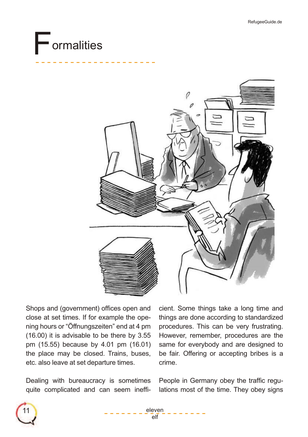### Formalities



Shops and (government) offices open and close at set times. If for example the opening hours or "Öffnungszeiten" end at 4 pm (16.00) it is advisable to be there by 3.55 pm (15.55) because by 4.01 pm (16.01) the place may be closed. Trains, buses, etc. also leave at set departure times.

Dealing with bureaucracy is sometimes quite complicated and can seem inefficient. Some things take a long time and things are done according to standardized procedures. This can be very frustrating. However, remember, procedures are the same for everybody and are designed to be fair. Offering or accepting bribes is a crime.

People in Germany obey the traffic regulations most of the time. They obey signs

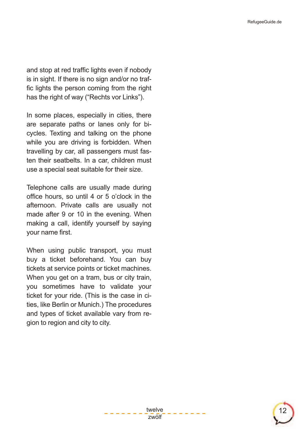and stop at red traffic lights even if nobody is in sight. If there is no sign and/or no traf fic lights the person coming from the right has the right of way ("Rechts vor Links").

In some places, especially in cities, there are separate paths or lanes only for bicycles. Texting and talking on the phone while you are driving is forbidden. When travelling by car, all passengers must fasten their seatbelts. In a car, children must use a special seat suitable for their size.

Telephone calls are usually made during office hours, so until 4 or 5 o'clock in the afternoon. Private calls are usually not made after 9 or 10 in the evening. When making a call, identify yourself by saying your name first.

When using public transport, you must buy a ticket beforehand. You can buy tickets at service points or ticket machines. When you get on a tram, bus or city train, you sometimes have to validate your ticket for your ride. (This is the case in cities, like Berlin or Munich.) The procedures and types of ticket available vary from region to region and city to city.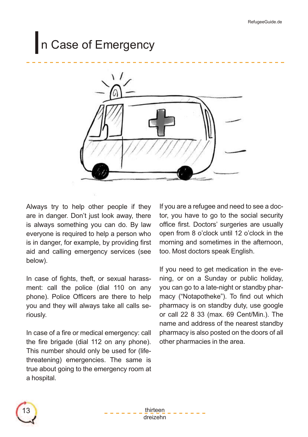#### In Case of Emergency



Always try to help other people if they are in danger. Don't just look away, there is always something you can do. By law everyone is required to help a person who is in danger, for example, by providing first aid and calling emergency services (see below).

In case of fights, theft, or sexual harassment: call the police (dial 110 on any phone). Police Officers are there to help you and they will always take all calls seriously.

In case of a fire or medical emergency: call the fire brigade (dial 112 on any phone). This number should only be used for (lifethreatening) emergencies. The same is true about going to the emergency room at a hospital.

If you are a refugee and need to see a doctor, you have to go to the social security office first. Doctors' surgeries are usually open from 8 o'clock until 12 o'clock in the morning and sometimes in the afternoon, too. Most doctors speak English.

If you need to get medication in the evening, or on a Sunday or public holiday, you can go to a late-night or standby pharmacy ("Notapotheke"). To find out which pharmacy is on standby duty, use google or call 22 8 33 (max. 69 Cent/Min.). The name and address of the nearest standby pharmacy is also posted on the doors of all other pharmacies in the area.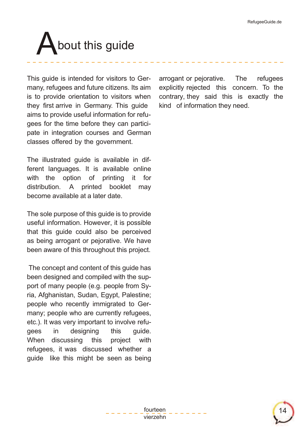## bout this guide

This guide is intended for visitors to Germany, refugees and future citizens. Its aim is to provide orientation to visitors when they first arrive in Germany. This guide aims to provide useful information for refugees for the time before they can participate in integration courses and German classes offered by the government.

The illustrated guide is available in different languages. It is available online with the option of printing it for distribution. A printed booklet may become available at a later date.

The sole purpose of this guide is to provide useful information. However, it is possible that this guide could also be perceived as being arrogant or pejorative. We have been aware of this throughout this project.

The concept and content of this guide has been designed and compiled with the support of many people (e.g. people from Syria, Afghanistan, Sudan, Egypt, Palestine; people who recently immigrated to Germany; people who are currently refugees, etc.). It was very important to involve refugees in designing this guide. When discussing this project with refugees, it was discussed whether a guide like this might be seen as being arrogant or pejorative. The refugees explicitly rejected this concern. To the contrary, they said this is exactly the kind of information they need.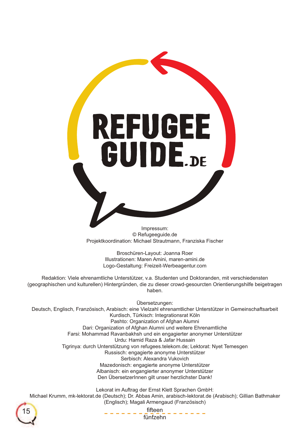**REFUGEE**<br>GUIDE.DE

Impressum: © Refugeeguide.de Projektkoordination: Michael Strautmann, Franziska Fischer

> Broschüren-Layout: Joanna Roer Illustrationen: Maren Amini, maren-amini.de Logo-Gestaltung: Freizeit-Werbeagentur.com

Redaktion: Viele ehrenamtliche Unterstützer, v.a. Studenten und Doktoranden, mit verschiedensten (geographischen und kulturellen) Hintergründen, die zu dieser crowd-gesourcten Orientierungshilfe beigetragen haben.

Übersetzungen:

Deutsch, Englisch, Französisch, Arabisch: eine Vielzahl ehrenamtlicher Unterstützer in Gemeinschaftsarbeit Kurdisch, Türkisch: Integrationsrat Köln Pashto: Organization of Afghan Alumni Dari: Organization of Afghan Alumni und weitere Ehrenamtliche Farsi: Mohammad Ravanbakhsh und ein engagierter anonymer Unterstützer Urdu: Hamid Raza & Jafar Hussain Tigrinya: durch Unterstützung von refugees.telekom.de; Lektorat: Nyet Temesgen Russisch: engagierte anonyme Unterstützer Serbisch: Alexandra Vukovich Mazedonisch: engagierte anonyme Unterstützer Albanisch: ein engangierter anonymer Unterstützer Den ÜbersetzerInnen gilt unser herzlichster Dank!

Lekorat im Auftrag der Ernst Klett Sprachen GmbH:

Michael Krumm, mk-lektorat.de (Deutsch); Dr. Abbas Amin, arabisch-lektorat.de (Arabisch); Gillian Bathmaker (Englisch); Magali Armengaud (Französisch)



fifteen<br>fünfzehn 15 **filteen\_ifteen\_ifteen\_ifteen\_ifteen\_ifteen\_ifteen\_ifteen\_ifteen\_ifteen\_ifteen**